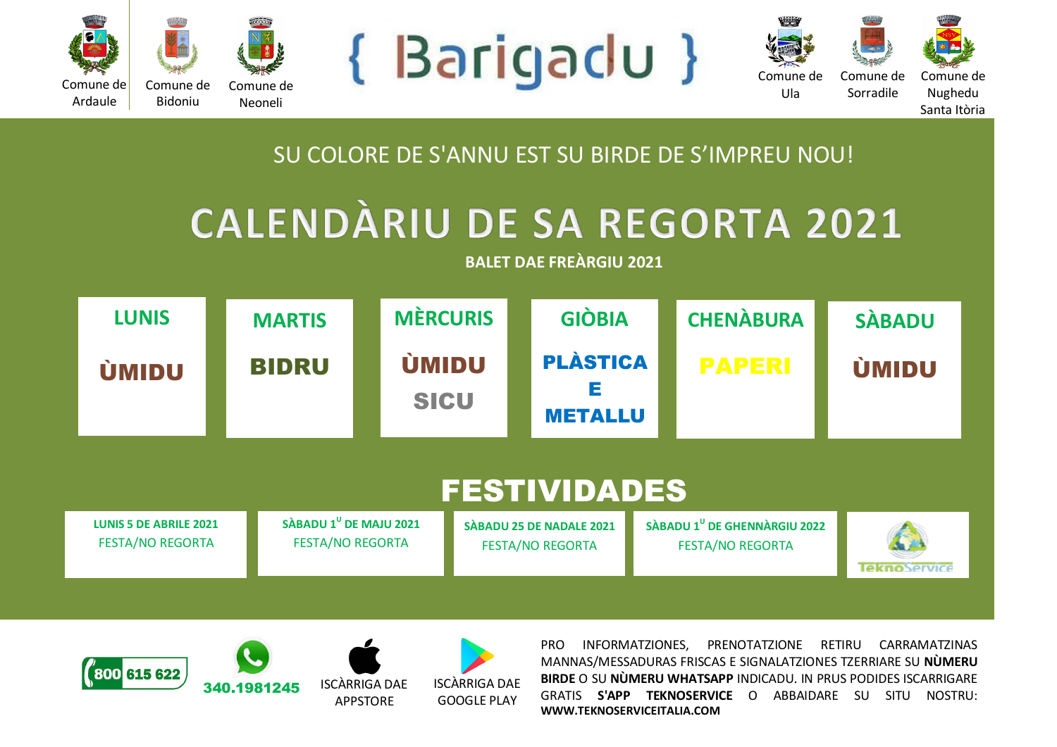

Ula



Comune de Sorradile Comune de

Nughedu Santa Itòria





## SU COLORE DE S'ANNU EST SU BIRDE DE S'IMPREU NOU!

## **CALENDÀRIU DE SA REGORTA 2021**

**BALET DAE FREÀRGIU 2021**

| <b>LUNIS</b>                                             | <b>MARTIS</b>                                                 | <b>MÈRCURIS</b>             | <b>GIÒBIA</b>                                       | <b>CHENÀBURA</b>                                                    | <b>SABADU</b>       |  |  |  |  |
|----------------------------------------------------------|---------------------------------------------------------------|-----------------------------|-----------------------------------------------------|---------------------------------------------------------------------|---------------------|--|--|--|--|
| <b>ÚMIDU</b>                                             | <b>BIDRU</b>                                                  | <b>ÚMIDU</b><br><b>SICU</b> | <b>PLÀSTICA</b><br>Е<br><b>METALLU</b>              | <b>PAPERI</b>                                                       | <b>ÚMIDU</b>        |  |  |  |  |
| <b>FESTIVIDADES</b>                                      |                                                               |                             |                                                     |                                                                     |                     |  |  |  |  |
| <b>LUNIS 5 DE ABRILE 2021</b><br><b>FESTA/NO REGORTA</b> | SÀBADU 1 <sup>U</sup> DE MAJU 2021<br><b>FESTA/NO REGORTA</b> |                             | SÀBADU 25 DE NADALE 2021<br><b>FESTA/NO REGORTA</b> | SÀBADU 1 <sup>U</sup> DE GHENNÀRGIU 2022<br><b>FESTA/NO REGORTA</b> | <b>lekno</b> Servic |  |  |  |  |



EDÌ 5





APPSTORE



PRO INFORMATZIONES, PRENOTATZIONE RETIRU CARRAMATZINAS MANNAS/MESSADURAS FRISCAS E SIGNALATZIONES TZERRIARE SU **NÙMERU BIRDE** O SU **NÙMERU WHATSAPP** INDICADU. IN PRUS PODIDES ISCARRIGARE GRATIS **S'APP TEKNOSERVICE** O ABBAIDARE SU SITU NOSTRU: **WWW.TEKNOSERVICEITALIA.COM**